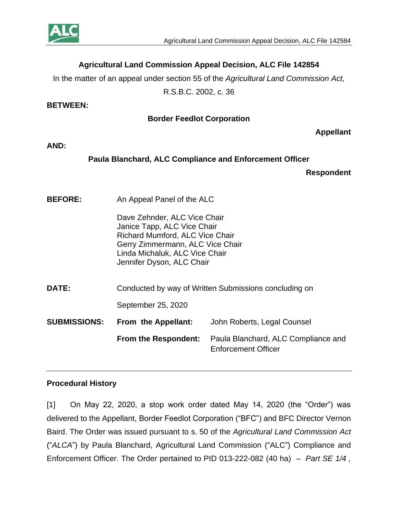

# **Agricultural Land Commission Appeal Decision, ALC File 142854**

In the matter of an appeal under section 55 of the *Agricultural Land Commission Act,* 

R.S.B.C. 2002, c. 36

#### **BETWEEN:**

### **Border Feedlot Corporation**

**Appellant**

#### **AND:**

## **Paula Blanchard, ALC Compliance and Enforcement Officer**

**Respondent**

**BEFORE:** An Appeal Panel of the ALC

Dave Zehnder, ALC Vice Chair Janice Tapp, ALC Vice Chair Richard Mumford, ALC Vice Chair Gerry Zimmermann, ALC Vice Chair Linda Michaluk, ALC Vice Chair Jennifer Dyson, ALC Chair

**DATE:** Conducted by way of Written Submissions concluding on September 25, 2020 **SUBMISSIONS: From the Appellant:** John Roberts, Legal Counsel

**From the Respondent:** Paula Blanchard, ALC Compliance and Enforcement Officer

## **Procedural History**

[1] On May 22, 2020, a stop work order dated May 14, 2020 (the "Order") was delivered to the Appellant, Border Feedlot Corporation ("BFC") and BFC Director Vernon Baird. The Order was issued pursuant to s. 50 of the *Agricultural Land Commission Act*  ("*ALCA*") by Paula Blanchard, Agricultural Land Commission ("ALC") Compliance and Enforcement Officer. The Order pertained to PID 013-222-082 (40 ha) – *Part SE 1/4 ,*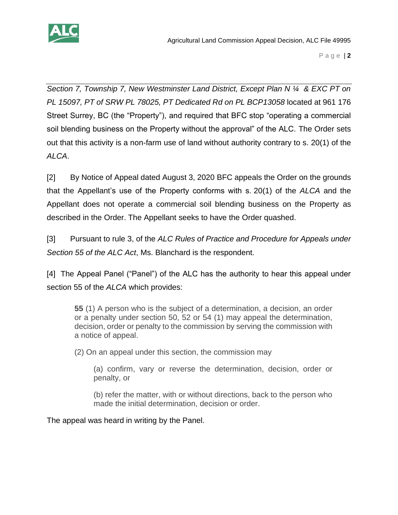

*Section 7, Township 7, New Westminster Land District, Except Plan N ¼ & EXC PT on PL 15097, PT of SRW PL 78025, PT Dedicated Rd on PL BCP13058* located at 961 176 Street Surrey, BC (the "Property"), and required that BFC stop "operating a commercial soil blending business on the Property without the approval" of the ALC. The Order sets out that this activity is a non-farm use of land without authority contrary to s. 20(1) of the *ALCA*.

[2] By Notice of Appeal dated August 3, 2020 BFC appeals the Order on the grounds that the Appellant's use of the Property conforms with s. 20(1) of the *ALCA* and the Appellant does not operate a commercial soil blending business on the Property as described in the Order. The Appellant seeks to have the Order quashed.

[3] Pursuant to rule 3, of the *ALC Rules of Practice and Procedure for Appeals under Section 55 of the ALC Act*, Ms. Blanchard is the respondent.

[4] The Appeal Panel ("Panel") of the ALC has the authority to hear this appeal under section 55 of the *ALCA* which provides:

**55** (1) A person who is the subject of a determination, a decision, an order or a penalty under section 50, 52 or 54 (1) may appeal the determination, decision, order or penalty to the commission by serving the commission with a notice of appeal.

(2) On an appeal under this section, the commission may

(a) confirm, vary or reverse the determination, decision, order or penalty, or

(b) refer the matter, with or without directions, back to the person who made the initial determination, decision or order.

The appeal was heard in writing by the Panel.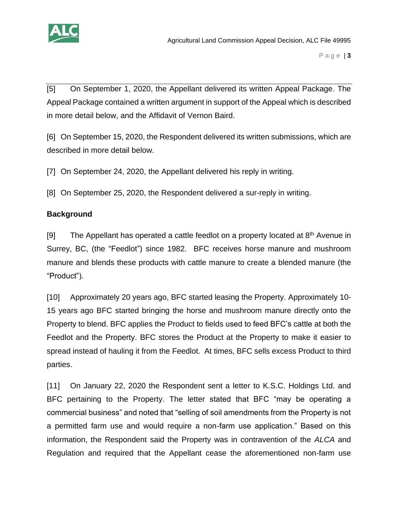

[5] On September 1, 2020, the Appellant delivered its written Appeal Package. The Appeal Package contained a written argument in support of the Appeal which is described in more detail below, and the Affidavit of Vernon Baird.

[6] On September 15, 2020, the Respondent delivered its written submissions, which are described in more detail below.

[7] On September 24, 2020, the Appellant delivered his reply in writing.

[8] On September 25, 2020, the Respondent delivered a sur-reply in writing.

# **Background**

[9] The Appellant has operated a cattle feedlot on a property located at  $8<sup>th</sup>$  Avenue in Surrey, BC, (the "Feedlot") since 1982. BFC receives horse manure and mushroom manure and blends these products with cattle manure to create a blended manure (the "Product").

[10] Approximately 20 years ago, BFC started leasing the Property. Approximately 10- 15 years ago BFC started bringing the horse and mushroom manure directly onto the Property to blend. BFC applies the Product to fields used to feed BFC's cattle at both the Feedlot and the Property. BFC stores the Product at the Property to make it easier to spread instead of hauling it from the Feedlot. At times, BFC sells excess Product to third parties.

[11] On January 22, 2020 the Respondent sent a letter to K.S.C. Holdings Ltd. and BFC pertaining to the Property. The letter stated that BFC "may be operating a commercial business" and noted that "selling of soil amendments from the Property is not a permitted farm use and would require a non-farm use application." Based on this information, the Respondent said the Property was in contravention of the *ALCA* and Regulation and required that the Appellant cease the aforementioned non-farm use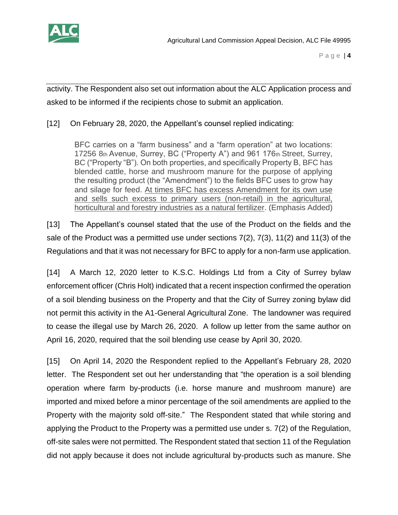

activity. The Respondent also set out information about the ALC Application process and asked to be informed if the recipients chose to submit an application.

[12] On February 28, 2020, the Appellant's counsel replied indicating:

BFC carries on a "farm business" and a "farm operation" at two locations: 17256 8th Avenue, Surrey, BC ("Property A") and 961 176th Street, Surrey, BC ("Property "B"). On both properties, and specifically Property B, BFC has blended cattle, horse and mushroom manure for the purpose of applying the resulting product (the "Amendment") to the fields BFC uses to grow hay and silage for feed. At times BFC has excess Amendment for its own use and sells such excess to primary users (non-retail) in the agricultural, horticultural and forestry industries as a natural fertilizer. (Emphasis Added)

[13] The Appellant's counsel stated that the use of the Product on the fields and the sale of the Product was a permitted use under sections 7(2), 7(3), 11(2) and 11(3) of the Regulations and that it was not necessary for BFC to apply for a non-farm use application.

[14] A March 12, 2020 letter to K.S.C. Holdings Ltd from a City of Surrey bylaw enforcement officer (Chris Holt) indicated that a recent inspection confirmed the operation of a soil blending business on the Property and that the City of Surrey zoning bylaw did not permit this activity in the A1-General Agricultural Zone. The landowner was required to cease the illegal use by March 26, 2020. A follow up letter from the same author on April 16, 2020, required that the soil blending use cease by April 30, 2020.

[15] On April 14, 2020 the Respondent replied to the Appellant's February 28, 2020 letter. The Respondent set out her understanding that "the operation is a soil blending operation where farm by-products (i.e. horse manure and mushroom manure) are imported and mixed before a minor percentage of the soil amendments are applied to the Property with the majority sold off-site." The Respondent stated that while storing and applying the Product to the Property was a permitted use under s. 7(2) of the Regulation, off-site sales were not permitted. The Respondent stated that section 11 of the Regulation did not apply because it does not include agricultural by-products such as manure. She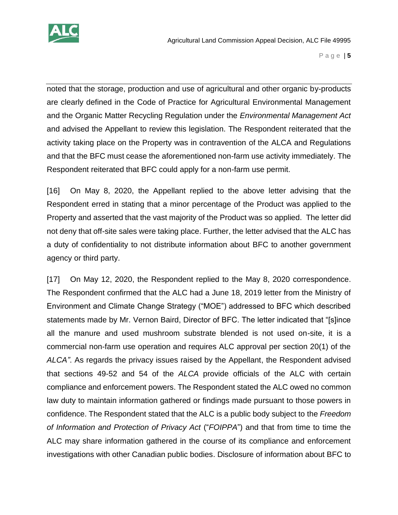

noted that the storage, production and use of agricultural and other organic by-products are clearly defined in the Code of Practice for Agricultural Environmental Management and the Organic Matter Recycling Regulation under the *Environmental Management Act* and advised the Appellant to review this legislation. The Respondent reiterated that the activity taking place on the Property was in contravention of the ALCA and Regulations and that the BFC must cease the aforementioned non-farm use activity immediately. The Respondent reiterated that BFC could apply for a non-farm use permit.

[16] On May 8, 2020, the Appellant replied to the above letter advising that the Respondent erred in stating that a minor percentage of the Product was applied to the Property and asserted that the vast majority of the Product was so applied. The letter did not deny that off-site sales were taking place. Further, the letter advised that the ALC has a duty of confidentiality to not distribute information about BFC to another government agency or third party.

[17] On May 12, 2020, the Respondent replied to the May 8, 2020 correspondence. The Respondent confirmed that the ALC had a June 18, 2019 letter from the Ministry of Environment and Climate Change Strategy ("MOE") addressed to BFC which described statements made by Mr. Vernon Baird, Director of BFC. The letter indicated that "[s]ince all the manure and used mushroom substrate blended is not used on-site, it is a commercial non-farm use operation and requires ALC approval per section 20(1) of the *ALCA"*. As regards the privacy issues raised by the Appellant, the Respondent advised that sections 49-52 and 54 of the *ALCA* provide officials of the ALC with certain compliance and enforcement powers. The Respondent stated the ALC owed no common law duty to maintain information gathered or findings made pursuant to those powers in confidence. The Respondent stated that the ALC is a public body subject to the *Freedom of Information and Protection of Privacy Act* ("*FOIPPA*") and that from time to time the ALC may share information gathered in the course of its compliance and enforcement investigations with other Canadian public bodies. Disclosure of information about BFC to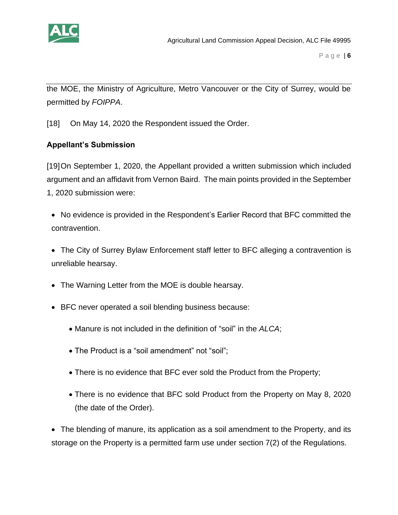

the MOE, the Ministry of Agriculture, Metro Vancouver or the City of Surrey, would be permitted by *FOIPPA*.

[18] On May 14, 2020 the Respondent issued the Order.

# **Appellant's Submission**

[19]On September 1, 2020, the Appellant provided a written submission which included argument and an affidavit from Vernon Baird. The main points provided in the September 1, 2020 submission were:

- No evidence is provided in the Respondent's Earlier Record that BFC committed the contravention.
- The City of Surrey Bylaw Enforcement staff letter to BFC alleging a contravention is unreliable hearsay.
- The Warning Letter from the MOE is double hearsay.
- BFC never operated a soil blending business because:
	- Manure is not included in the definition of "soil" in the *ALCA*;
	- The Product is a "soil amendment" not "soil";
	- There is no evidence that BFC ever sold the Product from the Property;
	- There is no evidence that BFC sold Product from the Property on May 8, 2020 (the date of the Order).

• The blending of manure, its application as a soil amendment to the Property, and its storage on the Property is a permitted farm use under section 7(2) of the Regulations.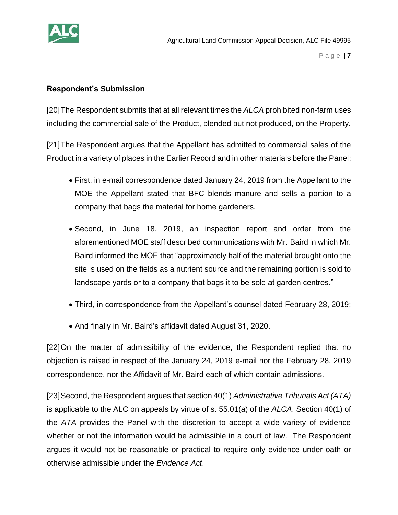

#### **Respondent's Submission**

[20]The Respondent submits that at all relevant times the *ALCA* prohibited non-farm uses including the commercial sale of the Product, blended but not produced, on the Property.

[21]The Respondent argues that the Appellant has admitted to commercial sales of the Product in a variety of places in the Earlier Record and in other materials before the Panel:

- First, in e-mail correspondence dated January 24, 2019 from the Appellant to the MOE the Appellant stated that BFC blends manure and sells a portion to a company that bags the material for home gardeners.
- Second, in June 18, 2019, an inspection report and order from the aforementioned MOE staff described communications with Mr. Baird in which Mr. Baird informed the MOE that "approximately half of the material brought onto the site is used on the fields as a nutrient source and the remaining portion is sold to landscape yards or to a company that bags it to be sold at garden centres."
- Third, in correspondence from the Appellant's counsel dated February 28, 2019;
- And finally in Mr. Baird's affidavit dated August 31, 2020.

[22]On the matter of admissibility of the evidence, the Respondent replied that no objection is raised in respect of the January 24, 2019 e-mail nor the February 28, 2019 correspondence, nor the Affidavit of Mr. Baird each of which contain admissions.

[23]Second, the Respondent argues that section 40(1) *Administrative Tribunals Act (ATA)* is applicable to the ALC on appeals by virtue of s. 55.01(a) of the *ALCA*. Section 40(1) of the *ATA* provides the Panel with the discretion to accept a wide variety of evidence whether or not the information would be admissible in a court of law. The Respondent argues it would not be reasonable or practical to require only evidence under oath or otherwise admissible under the *Evidence Act*.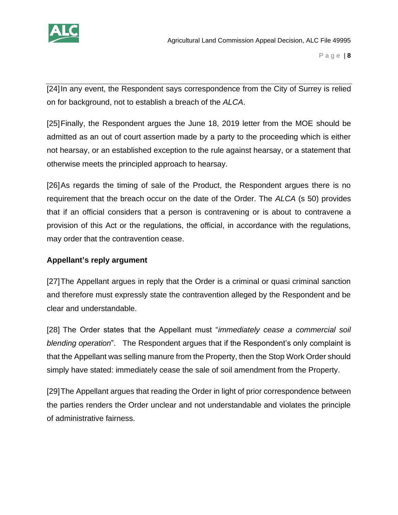

[24]In any event, the Respondent says correspondence from the City of Surrey is relied on for background, not to establish a breach of the *ALCA*.

[25]Finally, the Respondent argues the June 18, 2019 letter from the MOE should be admitted as an out of court assertion made by a party to the proceeding which is either not hearsay, or an established exception to the rule against hearsay, or a statement that otherwise meets the principled approach to hearsay.

[26]As regards the timing of sale of the Product, the Respondent argues there is no requirement that the breach occur on the date of the Order. The *ALCA* (s 50) provides that if an official considers that a person is contravening or is about to contravene a provision of this Act or the regulations, the official, in accordance with the regulations, may order that the contravention cease.

# **Appellant's reply argument**

[27]The Appellant argues in reply that the Order is a criminal or quasi criminal sanction and therefore must expressly state the contravention alleged by the Respondent and be clear and understandable.

[28] The Order states that the Appellant must "*immediately cease a commercial soil blending operation*". The Respondent argues that if the Respondent's only complaint is that the Appellant was selling manure from the Property, then the Stop Work Order should simply have stated: immediately cease the sale of soil amendment from the Property.

[29]The Appellant argues that reading the Order in light of prior correspondence between the parties renders the Order unclear and not understandable and violates the principle of administrative fairness.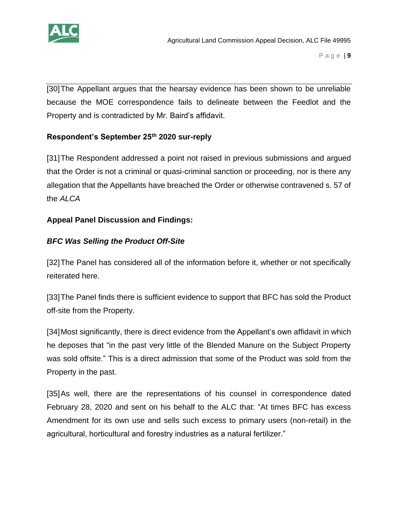

[30]The Appellant argues that the hearsay evidence has been shown to be unreliable because the MOE correspondence fails to delineate between the Feedlot and the Property and is contradicted by Mr. Baird's affidavit.

# **Respondent's September 25th 2020 sur-reply**

[31]The Respondent addressed a point not raised in previous submissions and argued that the Order is not a criminal or quasi-criminal sanction or proceeding, nor is there any allegation that the Appellants have breached the Order or otherwise contravened s. 57 of the *ALCA* 

# **Appeal Panel Discussion and Findings:**

# *BFC Was Selling the Product Off-Site*

[32]The Panel has considered all of the information before it, whether or not specifically reiterated here.

[33]The Panel finds there is sufficient evidence to support that BFC has sold the Product off-site from the Property.

[34]Most significantly, there is direct evidence from the Appellant's own affidavit in which he deposes that "in the past very little of the Blended Manure on the Subject Property was sold offsite." This is a direct admission that some of the Product was sold from the Property in the past.

[35]As well, there are the representations of his counsel in correspondence dated February 28, 2020 and sent on his behalf to the ALC that: "At times BFC has excess Amendment for its own use and sells such excess to primary users (non-retail) in the agricultural, horticultural and forestry industries as a natural fertilizer."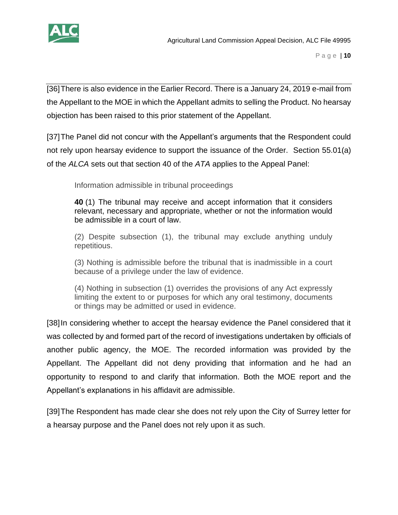

[36]There is also evidence in the Earlier Record. There is a January 24, 2019 e-mail from the Appellant to the MOE in which the Appellant admits to selling the Product. No hearsay objection has been raised to this prior statement of the Appellant.

[37]The Panel did not concur with the Appellant's arguments that the Respondent could not rely upon hearsay evidence to support the issuance of the Order. Section 55.01(a) of the *ALCA* sets out that section 40 of the *ATA* applies to the Appeal Panel:

Information admissible in tribunal proceedings

**40** (1) The tribunal may receive and accept information that it considers relevant, necessary and appropriate, whether or not the information would be admissible in a court of law.

(2) Despite subsection (1), the tribunal may exclude anything unduly repetitious.

(3) Nothing is admissible before the tribunal that is inadmissible in a court because of a privilege under the law of evidence.

(4) Nothing in subsection (1) overrides the provisions of any Act expressly limiting the extent to or purposes for which any oral testimony, documents or things may be admitted or used in evidence.

[38]In considering whether to accept the hearsay evidence the Panel considered that it was collected by and formed part of the record of investigations undertaken by officials of another public agency, the MOE. The recorded information was provided by the Appellant. The Appellant did not deny providing that information and he had an opportunity to respond to and clarify that information. Both the MOE report and the Appellant's explanations in his affidavit are admissible.

[39]The Respondent has made clear she does not rely upon the City of Surrey letter for a hearsay purpose and the Panel does not rely upon it as such.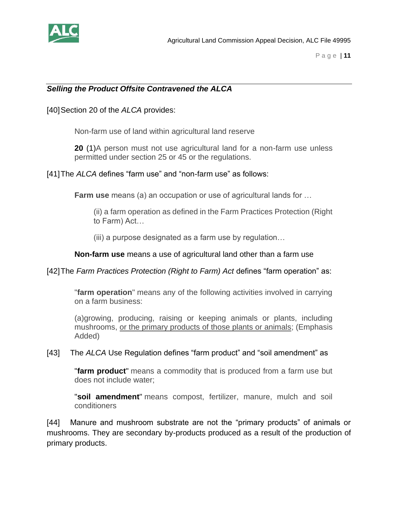

## *Selling the Product Offsite Contravened the ALCA*

[40]Section 20 of the *ALCA* provides:

Non-farm use of land within agricultural land reserve

**20** (1)A person must not use agricultural land for a non-farm use unless permitted under section 25 or 45 or the regulations.

[41]The *ALCA* defines "farm use" and "non-farm use" as follows:

**Farm use** means (a) an occupation or use of agricultural lands for …

(ii) a farm operation as defined in the Farm Practices Protection (Right to Farm) Act…

(iii) a purpose designated as a farm use by regulation…

**Non-farm use** means a use of agricultural land other than a farm use

[42]The *Farm Practices Protection (Right to Farm) Act* defines "farm operation" as:

"**farm operation**" means any of the following activities involved in carrying on a farm business:

(a)growing, producing, raising or keeping animals or plants, including mushrooms, or the primary products of those plants or animals; (Emphasis Added)

[43] The *ALCA* Use Regulation defines "farm product" and "soil amendment" as

"**farm product**" means a commodity that is produced from a farm use but does not include water;

"**soil amendment**" means compost, fertilizer, manure, mulch and soil conditioners

[44] Manure and mushroom substrate are not the "primary products" of animals or mushrooms. They are secondary by-products produced as a result of the production of primary products.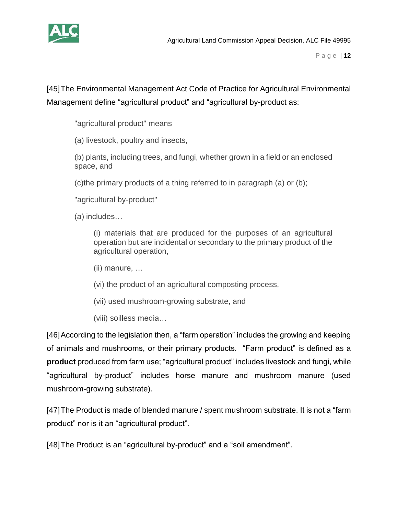

[45]The Environmental Management Act Code of Practice for Agricultural Environmental Management define "agricultural product" and "agricultural by-product as:

"agricultural product" means

(a) livestock, poultry and insects,

(b) plants, including trees, and fungi, whether grown in a field or an enclosed space, and

(c)the primary products of a thing referred to in paragraph (a) or (b);

"agricultural by-product"

(a) includes…

(i) materials that are produced for the purposes of an agricultural operation but are incidental or secondary to the primary product of the agricultural operation,

(ii) manure, …

(vi) the product of an agricultural composting process,

(vii) used mushroom-growing substrate, and

(viii) soilless media…

[46]According to the legislation then, a "farm operation" includes the growing and keeping of animals and mushrooms, or their primary products. "Farm product" is defined as a **product** produced from farm use; "agricultural product" includes livestock and fungi, while "agricultural by-product" includes horse manure and mushroom manure (used mushroom-growing substrate).

[47]The Product is made of blended manure / spent mushroom substrate. It is not a "farm product" nor is it an "agricultural product".

[48]The Product is an "agricultural by-product" and a "soil amendment".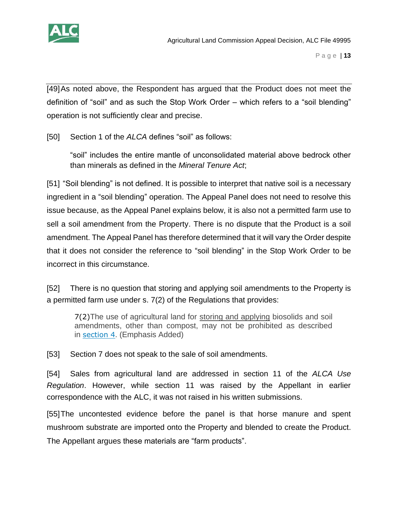

[49]As noted above, the Respondent has argued that the Product does not meet the definition of "soil" and as such the Stop Work Order – which refers to a "soil blending" operation is not sufficiently clear and precise.

[50] Section 1 of the *ALCA* defines "soil" as follows:

"soil" includes the entire mantle of unconsolidated material above bedrock other than minerals as defined in the *Mineral Tenure Act*;

[51] "Soil blending" is not defined. It is possible to interpret that native soil is a necessary ingredient in a "soil blending" operation. The Appeal Panel does not need to resolve this issue because, as the Appeal Panel explains below, it is also not a permitted farm use to sell a soil amendment from the Property. There is no dispute that the Product is a soil amendment. The Appeal Panel has therefore determined that it will vary the Order despite that it does not consider the reference to "soil blending" in the Stop Work Order to be incorrect in this circumstance.

[52] There is no question that storing and applying soil amendments to the Property is a permitted farm use under s. 7(2) of the Regulations that provides:

7(2)The use of agricultural land for storing and applying biosolids and soil amendments, other than compost, may not be prohibited as described in [section 4](https://www.canlii.org/en/bc/laws/regu/bc-reg-30-2019/latest/bc-reg-30-2019.html#sec4_smooth). (Emphasis Added)

[53] Section 7 does not speak to the sale of soil amendments.

[54] Sales from agricultural land are addressed in section 11 of the *ALCA Use Regulation*. However, while section 11 was raised by the Appellant in earlier correspondence with the ALC, it was not raised in his written submissions.

[55]The uncontested evidence before the panel is that horse manure and spent mushroom substrate are imported onto the Property and blended to create the Product. The Appellant argues these materials are "farm products".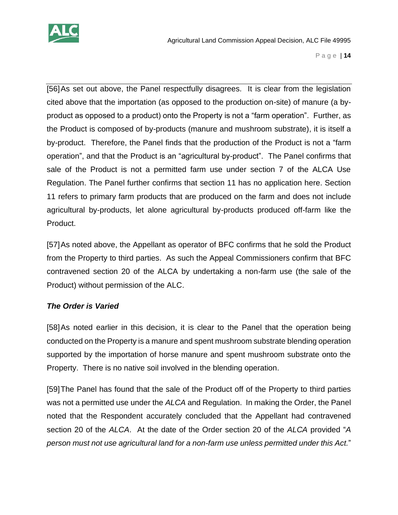

[56]As set out above, the Panel respectfully disagrees. It is clear from the legislation cited above that the importation (as opposed to the production on-site) of manure (a byproduct as opposed to a product) onto the Property is not a "farm operation". Further, as the Product is composed of by-products (manure and mushroom substrate), it is itself a by-product. Therefore, the Panel finds that the production of the Product is not a "farm operation", and that the Product is an "agricultural by-product". The Panel confirms that sale of the Product is not a permitted farm use under section 7 of the ALCA Use Regulation. The Panel further confirms that section 11 has no application here. Section 11 refers to primary farm products that are produced on the farm and does not include agricultural by-products, let alone agricultural by-products produced off-farm like the Product.

[57]As noted above, the Appellant as operator of BFC confirms that he sold the Product from the Property to third parties. As such the Appeal Commissioners confirm that BFC contravened section 20 of the ALCA by undertaking a non-farm use (the sale of the Product) without permission of the ALC.

## *The Order is Varied*

[58]As noted earlier in this decision, it is clear to the Panel that the operation being conducted on the Property is a manure and spent mushroom substrate blending operation supported by the importation of horse manure and spent mushroom substrate onto the Property. There is no native soil involved in the blending operation.

[59]The Panel has found that the sale of the Product off of the Property to third parties was not a permitted use under the *ALCA* and Regulation. In making the Order, the Panel noted that the Respondent accurately concluded that the Appellant had contravened section 20 of the *ALCA*. At the date of the Order section 20 of the *ALCA* provided "*A person must not use agricultural land for a non-farm use unless permitted under this Act.*"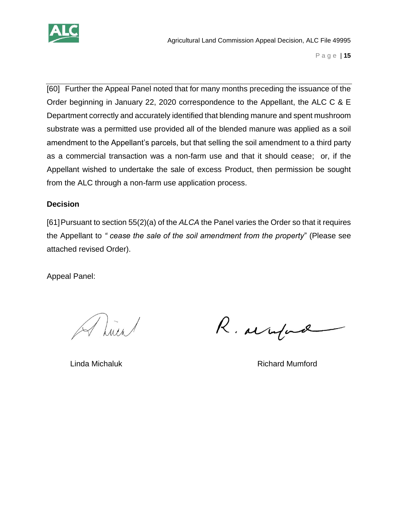

[60] Further the Appeal Panel noted that for many months preceding the issuance of the Order beginning in January 22, 2020 correspondence to the Appellant, the ALC C & E Department correctly and accurately identified that blending manure and spent mushroom substrate was a permitted use provided all of the blended manure was applied as a soil amendment to the Appellant's parcels, but that selling the soil amendment to a third party as a commercial transaction was a non-farm use and that it should cease; or, if the Appellant wished to undertake the sale of excess Product, then permission be sought from the ALC through a non-farm use application process.

#### **Decision**

[61]Pursuant to section 55(2)(a) of the *ALCA* the Panel varies the Order so that it requires the Appellant to *" cease the sale of the soil amendment from the property*" (Please see attached revised Order).

Appeal Panel:

A Luis

R. arrifind

Linda Michaluk **Richard Mumford**